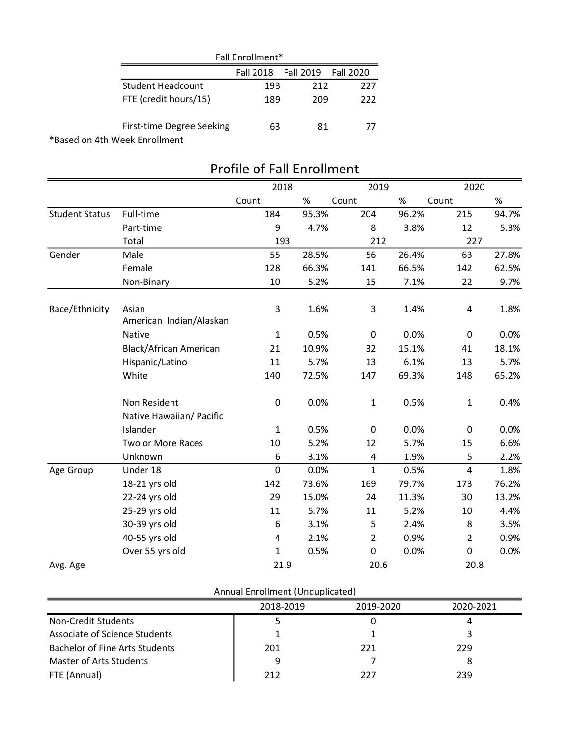|                               | Fall Enrollment* |           |           |  |  |  |
|-------------------------------|------------------|-----------|-----------|--|--|--|
|                               | <b>Fall 2018</b> | Fall 2019 | Fall 2020 |  |  |  |
| <b>Student Headcount</b>      | 193              | 212       | 227       |  |  |  |
| FTE (credit hours/15)         | 189              | 209       | 222       |  |  |  |
| First-time Degree Seeking     | 63               | 81        | 77        |  |  |  |
| *Based on 4th Week Enrollment |                  |           |           |  |  |  |

|                       |                                          | 2018         |       | 2019           |       | 2020           |       |
|-----------------------|------------------------------------------|--------------|-------|----------------|-------|----------------|-------|
|                       |                                          | Count        | $\%$  | Count          | $\%$  | Count          | $\%$  |
| <b>Student Status</b> | Full-time                                | 184          | 95.3% | 204            | 96.2% | 215            | 94.7% |
|                       | Part-time                                | 9            | 4.7%  | 8              | 3.8%  | 12             | 5.3%  |
|                       | Total                                    | 193          |       | 212            |       | 227            |       |
| Gender                | Male                                     | 55           | 28.5% | 56             | 26.4% | 63             | 27.8% |
|                       | Female                                   | 128          | 66.3% | 141            | 66.5% | 142            | 62.5% |
|                       | Non-Binary                               | 10           | 5.2%  | 15             | 7.1%  | 22             | 9.7%  |
| Race/Ethnicity        | Asian<br>American Indian/Alaskan         | 3            | 1.6%  | 3              | 1.4%  | $\sqrt{4}$     | 1.8%  |
|                       | <b>Native</b>                            | $\mathbf{1}$ | 0.5%  | $\pmb{0}$      | 0.0%  | $\mathbf 0$    | 0.0%  |
|                       | <b>Black/African American</b>            | 21           | 10.9% | 32             | 15.1% | 41             | 18.1% |
|                       | Hispanic/Latino                          | 11           | 5.7%  | 13             | 6.1%  | 13             | 5.7%  |
|                       | White                                    | 140          | 72.5% | 147            | 69.3% | 148            | 65.2% |
|                       | Non Resident<br>Native Hawaiian/ Pacific | 0            | 0.0%  | $\mathbf{1}$   | 0.5%  | $\mathbf 1$    | 0.4%  |
|                       | Islander                                 | $\mathbf{1}$ | 0.5%  | $\pmb{0}$      | 0.0%  | $\pmb{0}$      | 0.0%  |
|                       | Two or More Races                        | 10           | 5.2%  | 12             | 5.7%  | 15             | 6.6%  |
|                       | Unknown                                  | 6            | 3.1%  | 4              | 1.9%  | 5              | 2.2%  |
| Age Group             | Under 18                                 | 0            | 0.0%  | $\mathbf{1}$   | 0.5%  | $\overline{4}$ | 1.8%  |
|                       | 18-21 yrs old                            | 142          | 73.6% | 169            | 79.7% | 173            | 76.2% |
|                       | 22-24 yrs old                            | 29           | 15.0% | 24             | 11.3% | 30             | 13.2% |
|                       | 25-29 yrs old                            | 11           | 5.7%  | 11             | 5.2%  | 10             | 4.4%  |
|                       | 30-39 yrs old                            | 6            | 3.1%  | 5              | 2.4%  | 8              | 3.5%  |
|                       | 40-55 yrs old                            | 4            | 2.1%  | $\overline{2}$ | 0.9%  | $\overline{2}$ | 0.9%  |
|                       | Over 55 yrs old                          | $\mathbf 1$  | 0.5%  | $\mathbf 0$    | 0.0%  | $\mathbf 0$    | 0.0%  |
| Avg. Age              |                                          | 21.9         |       | 20.6           |       | 20.8           |       |

## Profile of Fall Enrollment

| Annual Enrollment (Unduplicated) |  |
|----------------------------------|--|
|----------------------------------|--|

|                                       | 2018-2019 | 2019-2020 | 2020-2021 |
|---------------------------------------|-----------|-----------|-----------|
| Non-Credit Students                   |           |           |           |
| Associate of Science Students         |           |           |           |
| <b>Bachelor of Fine Arts Students</b> | 201       | 221       | 229       |
| Master of Arts Students               | q         |           |           |
| FTE (Annual)                          | 212       | 777       | 239       |